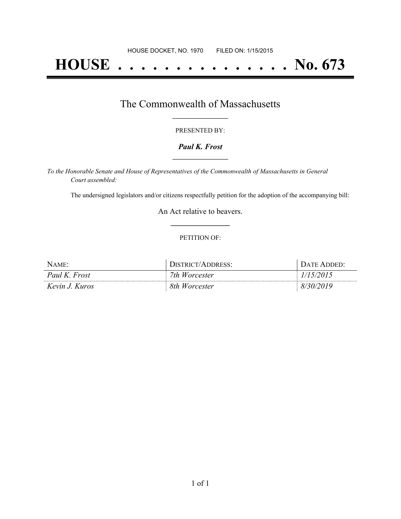# **HOUSE . . . . . . . . . . . . . . . No. 673**

## The Commonwealth of Massachusetts **\_\_\_\_\_\_\_\_\_\_\_\_\_\_\_\_\_**

#### PRESENTED BY:

#### *Paul K. Frost* **\_\_\_\_\_\_\_\_\_\_\_\_\_\_\_\_\_**

*To the Honorable Senate and House of Representatives of the Commonwealth of Massachusetts in General Court assembled:*

The undersigned legislators and/or citizens respectfully petition for the adoption of the accompanying bill:

An Act relative to beavers. **\_\_\_\_\_\_\_\_\_\_\_\_\_\_\_**

#### PETITION OF:

| Name:          | <b>DISTRICT/ADDRESS:</b> | DATE ADDED' |
|----------------|--------------------------|-------------|
| Paul K. Frost  | 7th Worcester            | 1/15/2015   |
| Kevin J. Kuros | 8th Worcester            | 8/30/       |